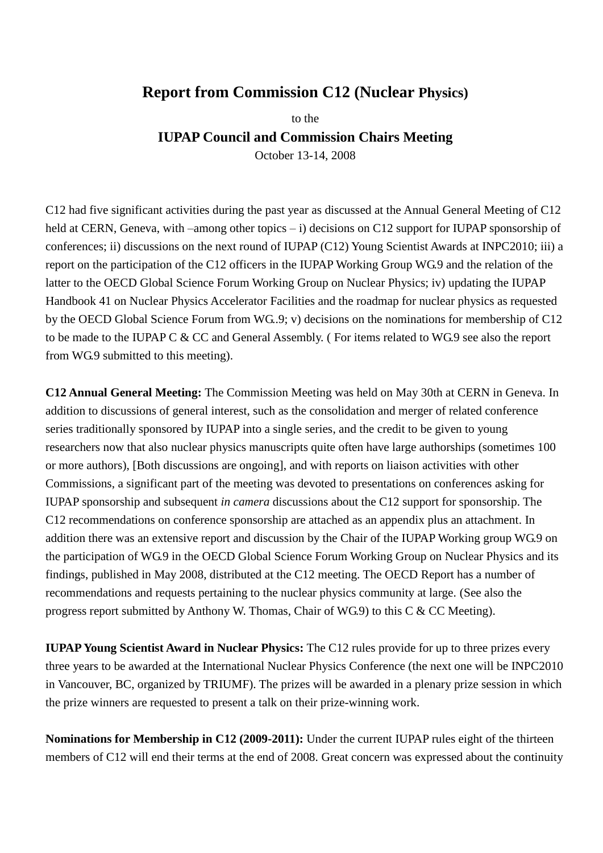## **Report from Commission C12 (Nuclear Physics)**

to the **IUPAP Council and Commission Chairs Meeting**

October 13-14, 2008

C12 had five significant activities during the past year as discussed at the Annual General Meeting of C12 held at CERN, Geneva, with –among other topics – i) decisions on C12 support for IUPAP sponsorship of conferences; ii) discussions on the next round of IUPAP (C12) Young Scientist Awards at INPC2010; iii) a report on the participation of the C12 officers in the IUPAP Working Group WG.9 and the relation of the latter to the OECD Global Science Forum Working Group on Nuclear Physics; iv) updating the IUPAP Handbook 41 on Nuclear Physics Accelerator Facilities and the roadmap for nuclear physics as requested by the OECD Global Science Forum from WG..9; v) decisions on the nominations for membership of C12 to be made to the IUPAP C & CC and General Assembly. ( For items related to WG.9 see also the report from WG.9 submitted to this meeting).

**C12 Annual General Meeting:** The Commission Meeting was held on May 30th at CERN in Geneva. In addition to discussions of general interest, such as the consolidation and merger of related conference series traditionally sponsored by IUPAP into a single series, and the credit to be given to young researchers now that also nuclear physics manuscripts quite often have large authorships (sometimes 100 or more authors), [Both discussions are ongoing], and with reports on liaison activities with other Commissions, a significant part of the meeting was devoted to presentations on conferences asking for IUPAP sponsorship and subsequent *in camera* discussions about the C12 support for sponsorship. The C12 recommendations on conference sponsorship are attached as an appendix plus an attachment. In addition there was an extensive report and discussion by the Chair of the IUPAP Working group WG.9 on the participation of WG.9 in the OECD Global Science Forum Working Group on Nuclear Physics and its findings, published in May 2008, distributed at the C12 meeting. The OECD Report has a number of recommendations and requests pertaining to the nuclear physics community at large. (See also the progress report submitted by Anthony W. Thomas, Chair of WG.9) to this C & CC Meeting).

**IUPAP Young Scientist Award in Nuclear Physics:** The C12 rules provide for up to three prizes every three years to be awarded at the International Nuclear Physics Conference (the next one will be INPC2010 in Vancouver, BC, organized by TRIUMF). The prizes will be awarded in a plenary prize session in which the prize winners are requested to present a talk on their prize-winning work.

**Nominations for Membership in C12 (2009-2011):** Under the current IUPAP rules eight of the thirteen members of C12 will end their terms at the end of 2008. Great concern was expressed about the continuity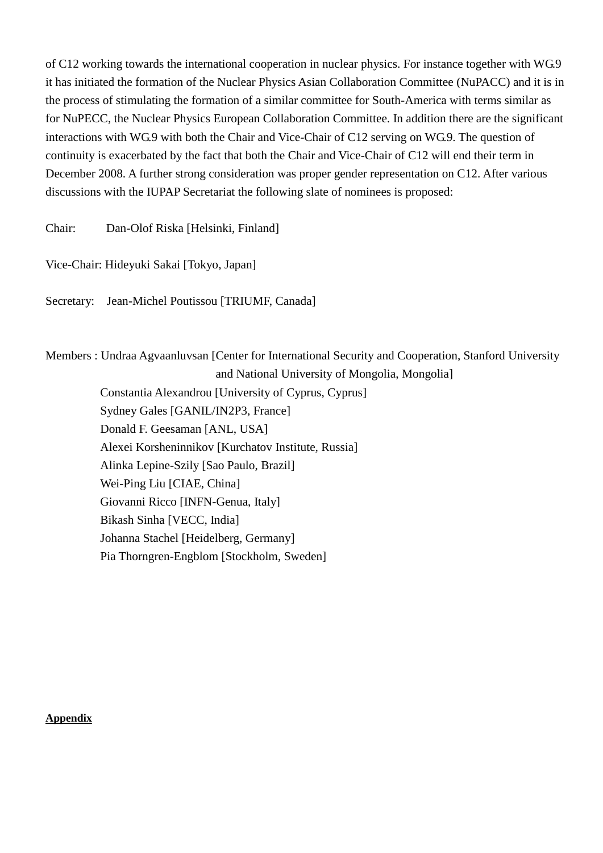of C12 working towards the international cooperation in nuclear physics. For instance together with WG.9 it has initiated the formation of the Nuclear Physics Asian Collaboration Committee (NuPACC) and it is in the process of stimulating the formation of a similar committee for South-America with terms similar as for NuPECC, the Nuclear Physics European Collaboration Committee. In addition there are the significant interactions with WG.9 with both the Chair and Vice-Chair of C12 serving on WG.9. The question of continuity is exacerbated by the fact that both the Chair and Vice-Chair of C12 will end their term in December 2008. A further strong consideration was proper gender representation on C12. After various discussions with the IUPAP Secretariat the following slate of nominees is proposed:

Chair: Dan-Olof Riska [Helsinki, Finland]

Vice-Chair: Hideyuki Sakai [Tokyo, Japan]

Secretary: Jean-Michel Poutissou [TRIUMF, Canada]

Members : Undraa Agvaanluvsan [Center for International Security and Cooperation, Stanford University and National University of Mongolia, Mongolia]

 Constantia Alexandrou [University of Cyprus, Cyprus] Sydney Gales [GANIL/IN2P3, France] Donald F. Geesaman [ANL, USA] Alexei Korsheninnikov [Kurchatov Institute, Russia] Alinka Lepine-Szily [Sao Paulo, Brazil] Wei-Ping Liu [CIAE, China] Giovanni Ricco [INFN-Genua, Italy] Bikash Sinha [VECC, India] Johanna Stachel [Heidelberg, Germany] Pia Thorngren-Engblom [Stockholm, Sweden]

**Appendix**